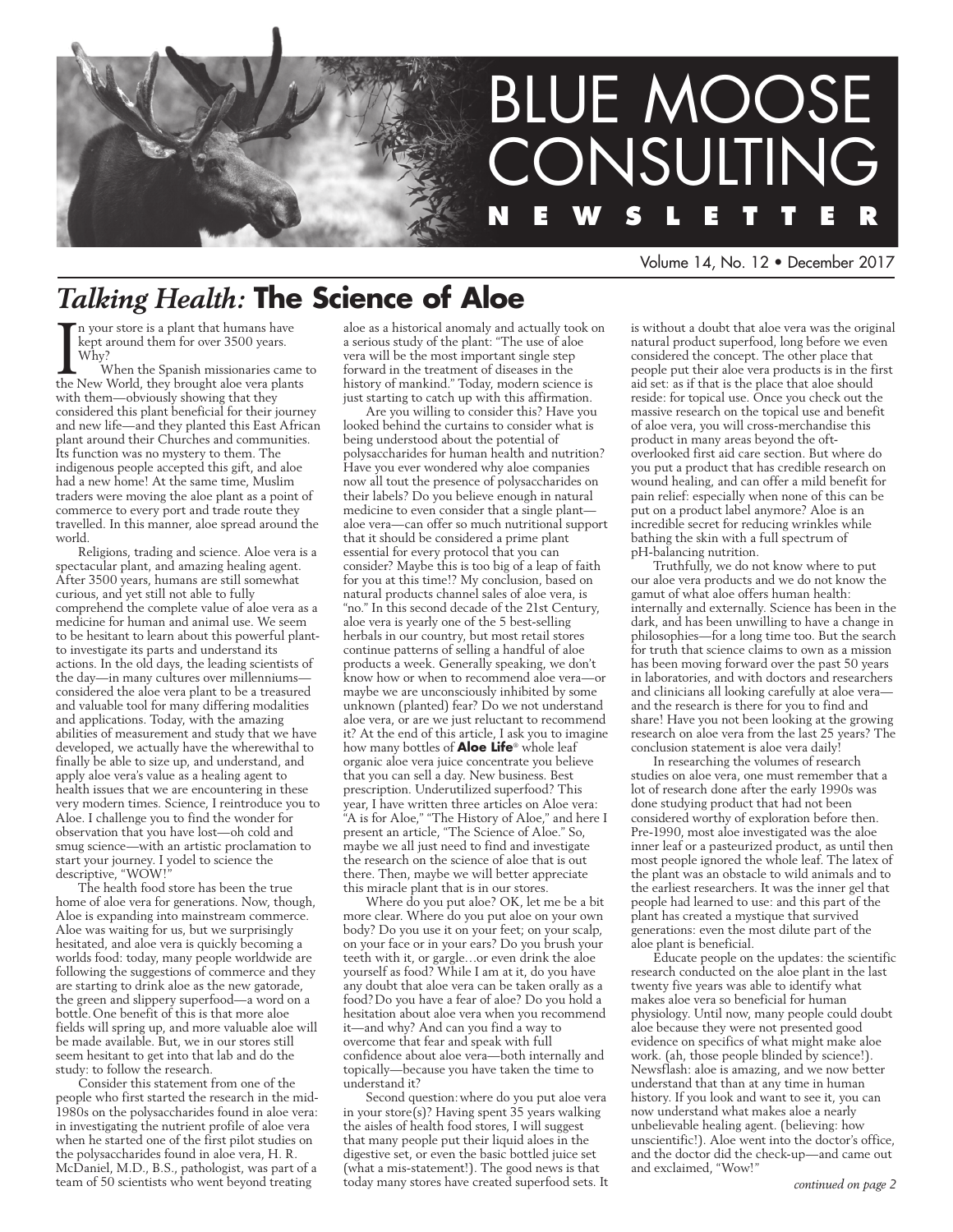

Volume 14, No. 12 • December 2017

### *Talking Health:* **The Science of Aloe**

In your store is a plant that humans have<br>
kept around them for over 3500 years.<br>
Why?<br>
When the Spanish missionaries came the New World, they brought aloe vera plants n your store is a plant that humans have kept around them for over 3500 years. Why?

When the Spanish missionaries came to with them—obviously showing that they considered this plant beneficial for their journey and new life—and they planted this East African plant around their Churches and communities. Its function was no mystery to them. The indigenous people accepted this gift, and aloe had a new home! At the same time, Muslim traders were moving the aloe plant as a point of commerce to every port and trade route they travelled. In this manner, aloe spread around the world.

Religions, trading and science. Aloe vera is a spectacular plant, and amazing healing agent. After 3500 years, humans are still somewhat curious, and yet still not able to fully comprehend the complete value of aloe vera as a medicine for human and animal use. We seem to be hesitant to learn about this powerful plantto investigate its parts and understand its actions. In the old days, the leading scientists of the day—in many cultures over millenniums considered the aloe vera plant to be a treasured and valuable tool for many differing modalities and applications. Today, with the amazing abilities of measurement and study that we have developed, we actually have the wherewithal to finally be able to size up, and understand, and apply aloe vera's value as a healing agent to health issues that we are encountering in these very modern times. Science, I reintroduce you to Aloe. I challenge you to find the wonder for observation that you have lost—oh cold and smug science—with an artistic proclamation to start your journey. I yodel to science the descriptive, "WOW!"

The health food store has been the true home of aloe vera for generations. Now, though, Aloe is expanding into mainstream commerce. Aloe was waiting for us, but we surprisingly hesitated, and aloe vera is quickly becoming a worlds food: today, many people worldwide are following the suggestions of commerce and they are starting to drink aloe as the new gatorade, the green and slippery superfood—a word on a bottle.One benefit of this is that more aloe fields will spring up, and more valuable aloe will be made available. But, we in our stores still seem hesitant to get into that lab and do the study: to follow the research.

Consider this statement from one of the people who first started the research in the mid-1980s on the polysaccharides found in aloe vera: in investigating the nutrient profile of aloe vera when he started one of the first pilot studies on the polysaccharides found in aloe vera, H. R. McDaniel, M.D., B.S., pathologist, was part of a team of 50 scientists who went beyond treating

aloe as a historical anomaly and actually took on a serious study of the plant: "The use of aloe vera will be the most important single step forward in the treatment of diseases in the history of mankind." Today, modern science is just starting to catch up with this affirmation.

Are you willing to consider this? Have you looked behind the curtains to consider what is being understood about the potential of polysaccharides for human health and nutrition? Have you ever wondered why aloe companies now all tout the presence of polysaccharides on their labels? Do you believe enough in natural medicine to even consider that a single plant aloe vera—can offer so much nutritional support that it should be considered a prime plant essential for every protocol that you can consider? Maybe this is too big of a leap of faith for you at this time!? My conclusion, based on natural products channel sales of aloe vera, is "no." In this second decade of the 21st Century, aloe vera is yearly one of the 5 best-selling herbals in our country, but most retail stores continue patterns of selling a handful of aloe products a week. Generally speaking, we don't know how or when to recommend aloe vera—or maybe we are unconsciously inhibited by some unknown (planted) fear? Do we not understand aloe vera, or are we just reluctant to recommend it? At the end of this article, I ask you to imagine how many bottles of **Aloe Life**® whole leaf organic aloe vera juice concentrate you believe that you can sell a day. New business. Best prescription. Underutilized superfood? This year, I have written three articles on Aloe vera: "A is for Aloe," "The History of Aloe," and here I present an article, "The Science of Aloe." So, maybe we all just need to find and investigate the research on the science of aloe that is out there. Then, maybe we will better appreciate this miracle plant that is in our stores.

Where do you put aloe? OK, let me be a bit more clear. Where do you put aloe on your own body? Do you use it on your feet; on your scalp, on your face or in your ears? Do you brush your teeth with it, or gargle…or even drink the aloe yourself as food? While I am at it, do you have any doubt that aloe vera can be taken orally as a food?Do you have a fear of aloe? Do you hold a hesitation about aloe vera when you recommend it—and why? And can you find a way to overcome that fear and speak with full confidence about aloe vera—both internally and topically—because you have taken the time to understand it?

Second question:where do you put aloe vera in your store(s)? Having spent 35 years walking the aisles of health food stores, I will suggest that many people put their liquid aloes in the digestive set, or even the basic bottled juice set (what a mis-statement!). The good news is that today many stores have created superfood sets. It

is without a doubt that aloe vera was the original natural product superfood, long before we even considered the concept. The other place that people put their aloe vera products is in the first aid set: as if that is the place that aloe should reside: for topical use. Once you check out the massive research on the topical use and benefit of aloe vera, you will cross-merchandise this product in many areas beyond the oftoverlooked first aid care section. But where do you put a product that has credible research on wound healing, and can offer a mild benefit for pain relief: especially when none of this can be put on a product label anymore? Aloe is an incredible secret for reducing wrinkles while bathing the skin with a full spectrum of pH-balancing nutrition.

Truthfully, we do not know where to put our aloe vera products and we do not know the gamut of what aloe offers human health: internally and externally. Science has been in the dark, and has been unwilling to have a change in philosophies—for a long time too. But the search for truth that science claims to own as a mission has been moving forward over the past 50 years in laboratories, and with doctors and researchers and clinicians all looking carefully at aloe vera and the research is there for you to find and share! Have you not been looking at the growing research on aloe vera from the last 25 years? The conclusion statement is aloe vera daily!

In researching the volumes of research studies on aloe vera, one must remember that a lot of research done after the early 1990s was done studying product that had not been considered worthy of exploration before then. Pre-1990, most aloe investigated was the aloe inner leaf or a pasteurized product, as until then most people ignored the whole leaf. The latex of the plant was an obstacle to wild animals and to the earliest researchers. It was the inner gel that people had learned to use: and this part of the plant has created a mystique that survived generations: even the most dilute part of the aloe plant is beneficial.

Educate people on the updates: the scientific research conducted on the aloe plant in the last twenty five years was able to identify what makes aloe vera so beneficial for human physiology. Until now, many people could doubt aloe because they were not presented good evidence on specifics of what might make aloe work. (ah, those people blinded by science!). Newsflash: aloe is amazing, and we now better understand that than at any time in human history. If you look and want to see it, you can now understand what makes aloe a nearly unbelievable healing agent. (believing: how unscientific!). Aloe went into the doctor's office, and the doctor did the check-up—and came out and exclaimed, "Wow!"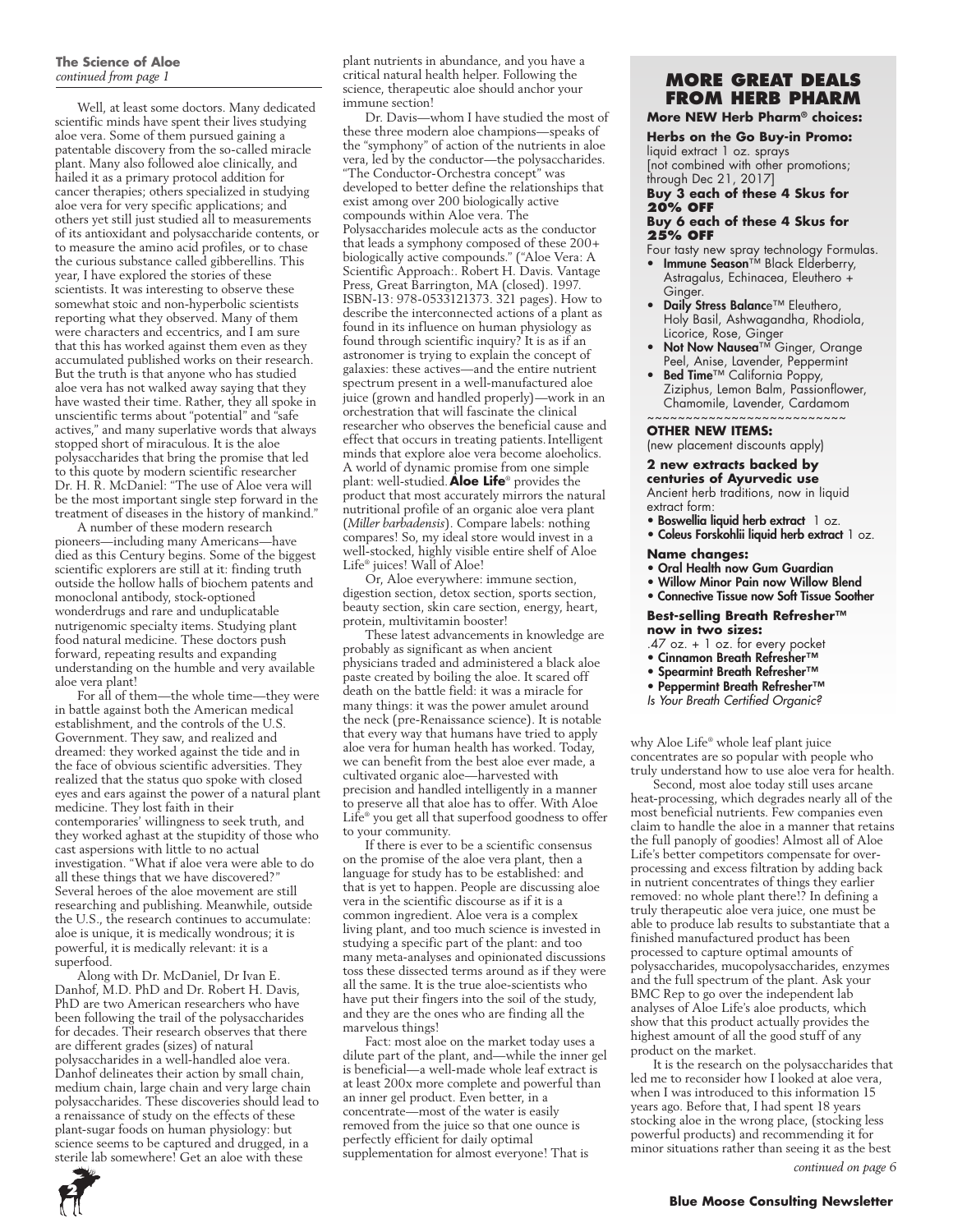### **The Science of Aloe**

Well, at least some doctors. Many dedicated scientific minds have spent their lives studying aloe vera. Some of them pursued gaining a patentable discovery from the so-called miracle plant. Many also followed aloe clinically, and hailed it as a primary protocol addition for cancer therapies; others specialized in studying aloe vera for very specific applications; and others yet still just studied all to measurements of its antioxidant and polysaccharide contents, or to measure the amino acid profiles, or to chase the curious substance called gibberellins. This year, I have explored the stories of these scientists. It was interesting to observe these somewhat stoic and non-hyperbolic scientists reporting what they observed. Many of them were characters and eccentrics, and I am sure that this has worked against them even as they accumulated published works on their research. But the truth is that anyone who has studied aloe vera has not walked away saying that they have wasted their time. Rather, they all spoke in unscientific terms about "potential" and "safe actives," and many superlative words that always stopped short of miraculous. It is the aloe polysaccharides that bring the promise that led to this quote by modern scientific researcher Dr. H. R. McDaniel: "The use of Aloe vera will be the most important single step forward in the treatment of diseases in the history of mankind."

A number of these modern research pioneers—including many Americans—have died as this Century begins. Some of the biggest scientific explorers are still at it: finding truth outside the hollow halls of biochem patents and monoclonal antibody, stock-optioned wonderdrugs and rare and unduplicatable nutrigenomic specialty items. Studying plant food natural medicine. These doctors push forward, repeating results and expanding understanding on the humble and very available aloe vera plant!

For all of them—the whole time—they were in battle against both the American medical establishment, and the controls of the U.S. Government. They saw, and realized and dreamed: they worked against the tide and in the face of obvious scientific adversities. They realized that the status quo spoke with closed eyes and ears against the power of a natural plant medicine. They lost faith in their contemporaries' willingness to seek truth, and they worked aghast at the stupidity of those who cast aspersions with little to no actual investigation. "What if aloe vera were able to do all these things that we have discovered?" Several heroes of the aloe movement are still researching and publishing. Meanwhile, outside the U.S., the research continues to accumulate: aloe is unique, it is medically wondrous; it is powerful, it is medically relevant: it is a superfood.

Along with Dr. McDaniel, Dr Ivan E. Danhof, M.D. PhD and Dr. Robert H. Davis, PhD are two American researchers who have been following the trail of the polysaccharides for decades. Their research observes that there are different grades (sizes) of natural polysaccharides in a well-handled aloe vera. Danhof delineates their action by small chain, medium chain, large chain and very large chain polysaccharides. These discoveries should lead to a renaissance of study on the effects of these plant-sugar foods on human physiology: but science seems to be captured and drugged, in a sterile lab somewhere! Get an aloe with these



Dr. Davis—whom I have studied the most of these three modern aloe champions—speaks of the "symphony" of action of the nutrients in aloe vera, led by the conductor—the polysaccharides. "The Conductor-Orchestra concept" was developed to better define the relationships that exist among over 200 biologically active compounds within Aloe vera. The Polysaccharides molecule acts as the conductor that leads a symphony composed of these 200+ biologically active compounds." ("Aloe Vera: A Scientific Approach:. Robert H. Davis. Vantage Press, Great Barrington, MA (closed). 1997. ISBN-13: 978-0533121373. 321 pages). How to describe the interconnected actions of a plant as found in its influence on human physiology as found through scientific inquiry? It is as if an astronomer is trying to explain the concept of galaxies: these actives—and the entire nutrient spectrum present in a well-manufactured aloe juice (grown and handled properly)—work in an orchestration that will fascinate the clinical researcher who observes the beneficial cause and effect that occurs in treating patients.Intelligent minds that explore aloe vera become aloeholics. A world of dynamic promise from one simple plant: well-studied.**Aloe Life**® provides the product that most accurately mirrors the natural nutritional profile of an organic aloe vera plant (*Miller barbadensis*). Compare labels: nothing compares! So, my ideal store would invest in a well-stocked, highly visible entire shelf of Aloe Life® juices! Wall of Aloe!

Or, Aloe everywhere: immune section, digestion section, detox section, sports section, beauty section, skin care section, energy, heart, protein, multivitamin booster!

These latest advancements in knowledge are probably as significant as when ancient physicians traded and administered a black aloe paste created by boiling the aloe. It scared off death on the battle field: it was a miracle for many things: it was the power amulet around the neck (pre-Renaissance science). It is notable that every way that humans have tried to apply aloe vera for human health has worked. Today, we can benefit from the best aloe ever made, a cultivated organic aloe—harvested with precision and handled intelligently in a manner to preserve all that aloe has to offer. With Aloe Life® you get all that superfood goodness to offer to your community.

If there is ever to be a scientific consensus on the promise of the aloe vera plant, then a language for study has to be established: and that is yet to happen. People are discussing aloe vera in the scientific discourse as if it is a common ingredient. Aloe vera is a complex living plant, and too much science is invested in studying a specific part of the plant: and too many meta-analyses and opinionated discussions toss these dissected terms around as if they were all the same. It is the true aloe-scientists who have put their fingers into the soil of the study, and they are the ones who are finding all the marvelous things!

Fact: most aloe on the market today uses a dilute part of the plant, and—while the inner gel is beneficial—a well-made whole leaf extract is at least 200x more complete and powerful than an inner gel product. Even better, in a concentrate—most of the water is easily removed from the juice so that one ounce is perfectly efficient for daily optimal supplementation for almost everyone! That is

## **from Herb Pharm**

#### **More NEW Herb Pharm® choices:**

#### **Herbs on the Go Buy-in Promo:**

liquid extract 1 oz. sprays [not combined with other promotions; through Dec 21, 2017]

**Buy 3 each of these 4 Skus for 20% OFF**

#### **Buy 6 each of these 4 Skus for 25% OFF**

- Four tasty new spray technology Formulas. • Immune Season™ Black Elderberry, Astragalus, Echinacea, Eleuthero + Ginger.
- Daily Stress Balance™ Eleuthero, Holy Basil, Ashwagandha, Rhodiola, Licorice, Rose, Ginger
- Not Now Nausea<sup>™</sup> Ginger, Orange Peel, Anise, Lavender, Peppermint
- • Bed Time™ California Poppy, Ziziphus, Lemon Balm, Passionflower, Chamomile, Lavender, Cardamom ~~~~~~~~~~~~~~~~~~~~~~~~

#### **Other new items:**

(new placement discounts apply)

### **2 new extracts backed by**

**centuries of Ayurvedic use** Ancient herb traditions, now in liquid extract form:

- Boswellia liquid herb extract 1 oz.
- Coleus Forskohlii liquid herb extract 1 oz.

#### **Name changes:**

- Oral Health now Gum Guardian
- Willow Minor Pain now Willow Blend
- Connective Tissue now Soft Tissue Soother

### **Best-selling Breath Refresher™ now in two sizes:**

- .47 oz. + 1 oz. for every pocket
- Cinnamon Breath Refresher™
- Spearmint Breath Refresher™
- Peppermint Breath Refresher™
- *Is Your Breath Certified Organic?*

why Aloe Life® whole leaf plant juice concentrates are so popular with people who truly understand how to use aloe vera for health.

Second, most aloe today still uses arcane heat-processing, which degrades nearly all of the most beneficial nutrients. Few companies even claim to handle the aloe in a manner that retains the full panoply of goodies! Almost all of Aloe Life's better competitors compensate for overprocessing and excess filtration by adding back in nutrient concentrates of things they earlier removed: no whole plant there!? In defining a truly therapeutic aloe vera juice, one must be able to produce lab results to substantiate that a finished manufactured product has been processed to capture optimal amounts of polysaccharides, mucopolysaccharides, enzymes and the full spectrum of the plant. Ask your BMC Rep to go over the independent lab analyses of Aloe Life's aloe products, which show that this product actually provides the highest amount of all the good stuff of any product on the market.

It is the research on the polysaccharides that led me to reconsider how I looked at aloe vera, when I was introduced to this information 15 years ago. Before that, I had spent 18 years stocking aloe in the wrong place, (stocking less powerful products) and recommending it for minor situations rather than seeing it as the best *continued on page 6*

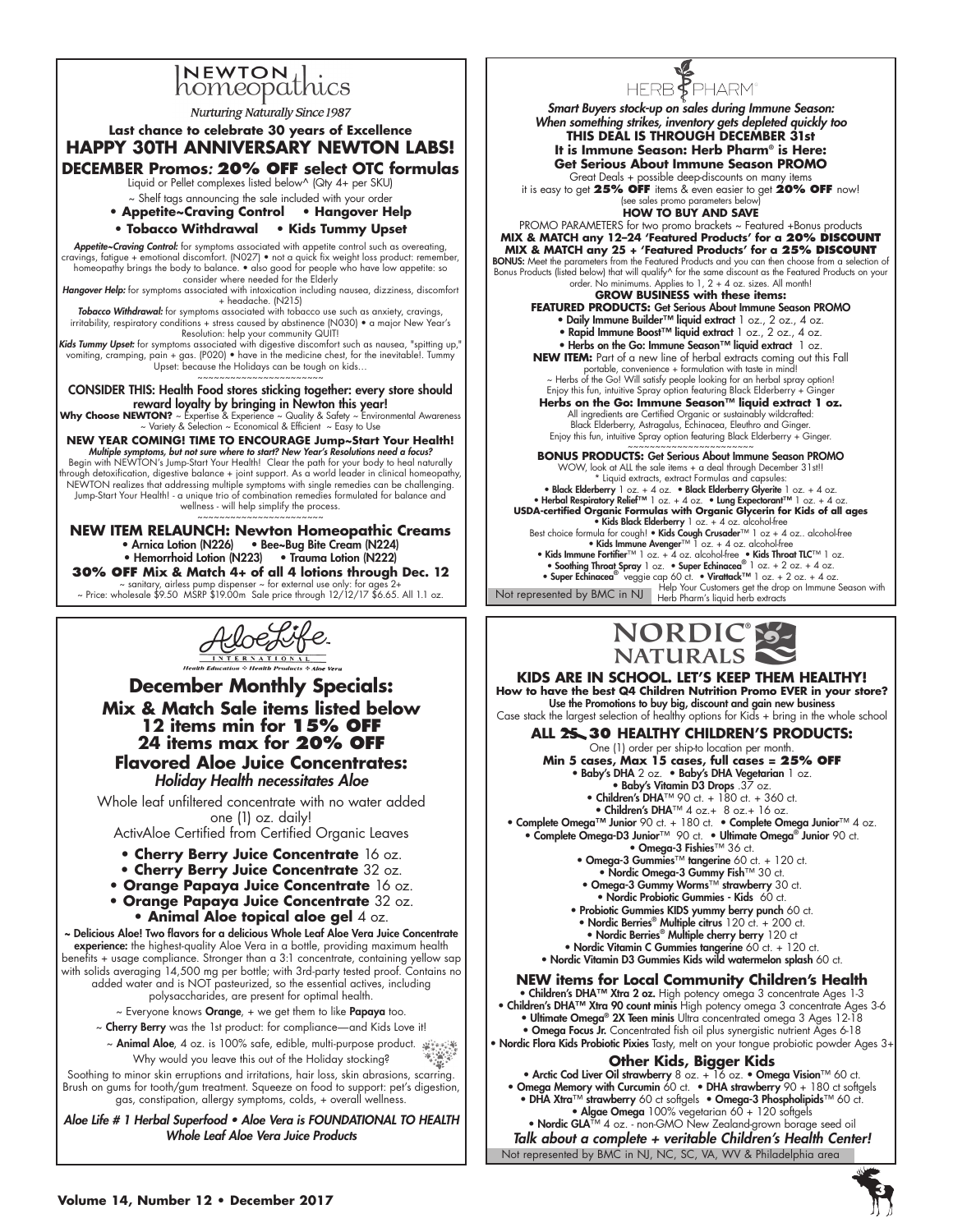# INEWTON thics

**Nurturing Naturally Since 1987** 

### **Last chance to celebrate 30 years of Excellence HAPPY 30TH ANNIVERSARY NEWTON LABS! DECEMBER Promos**: **20% OFF select OTC formulas** Liquid or Pellet complexes listed below^ (Qty 4+ per SKU) ~ Shelf tags announcing the sale included with your order **• Appetite~Craving Control • Hangover Help • Tobacco Withdrawal • Kids Tummy Upset**  Appetite~Craving Control: for symptoms associated with appetite control such as overeating, cravings, fatigue + emotional discomfort. (N027) • not a quick fix weight loss product: remember,<br>homeopathy brings the body to balance. • also good for people who have low appetite: so<br>consider where needed for the Elderl Hangover Help: for symptoms associated with intoxication including nausea, dizziness, discomfort + headache. (N215) Tobacco Withdrawal: for symptoms associated with tobacco use such as anxiety, cravings, irritability, respiratory conditions + stress caused by abstinence (N030) • a major New Year's<br>Ri**ds Tummy Upset:** for symptoms: help your community QUIT!<br>"**Kids Tummy Upset:** for symptoms associated with digestive discomf vomiting, cramping, pain + gas. (P020) • have in the medicine chest, for the inevitable!. Tummy Upset: because the Holidays can be tough on kids… ~~~~~~~~~~~~~~~~~~~~~ CONSIDER THIS: Health Food stores sticking together: every store should reward loyalty by bringing in Newton this year! **Why Choose NEWTON?** ~ Expertise & Experience ~ Quality & Safety ~ Environmental Awareness<br>~ Variety & Selection ~ Economical & Efficient ~ Easy to Use **NEW YEAR COMING! TIME TO ENCOURAGE Jump~Start Your Health!** Multiple symptoms, but not sure where to start? New Year's Resolutions need a focus? Begin with NEWTON's Jump-Start Your Health! Clear the path for your body to heal naturally<br>through detoxification, digestive balance + joint support. As a world leader in clinical homeopathy,<br>NEWTON realizes that addressi Jump-Start Your Health! - a unique trio of combination remedies formulated for balance and wellness - will help simplify the process.

~~~~~~~~~~~~~~~~~~~~~

**NEW ITEM RELAUNCH: Newton Homeopathic Creams** • Arnica Lotion (N226) • Bee~Bug Bite Cream (N224) • Hemorrhoid Lotion (N223) • Trauma Lotion (N222) **30% OFF Mix & Match 4+ of all 4 lotions through Dec. 12** ~ sanitary, airless pump dispenser ~ for external use only: for ages 2+ ~ Price: wholesale \$9.50 MSRP \$19.00m Sale price through 12/12/17 \$6.65. All 1.1 oz.

# $\bigotimes_{\frac{\frac{1}{1 \cdot N} \cdot \Gamma \in R \times \Lambda \cdot T + 0 \cdot N \cdot \lambda}{1 \cdot \Gamma \cdot \Gamma \cap R \cap R}} \bigotimes_{\text{Heath of the definition of } \Gamma \text{ and the } \text{praductive } n \text{ after } \text{ } \text{tr}}$

**December Monthly Specials: Mix & Match Sale items listed below 12 items min for 15% off 24 items max for 20% off Flavored Aloe Juice Concentrates:**  *Holiday Health necessitates Aloe*

Whole leaf unfiltered concentrate with no water added one (1) oz. daily!

ActivAloe Certified from Certified Organic Leaves

- **Cherry Berry Juice Concentrate** 16 oz.
- **Cherry Berry Juice Concentrate** 32 oz.
- **Orange Papaya Juice Concentrate** 16 oz.
- **Orange Papaya Juice Concentrate** 32 oz. **• Animal Aloe topical aloe gel** 4 oz.

~ Delicious Aloe! Two flavors for a delicious Whole Leaf Aloe Vera Juice Concentrate experience: the highest-quality Aloe Vera in a bottle, providing maximum health benefits + usage compliance. Stronger than a 3:1 concentrate, containing yellow sap with solids averaging 14,500 mg per bottle; with 3rd-party tested proof. Contains no added water and is NOT pasteurized, so the essential actives, including polysaccharides, are present for optimal health.

~ Everyone knows Orange, + we get them to like Papaya too.

- ~ Cherry Berry was the 1st product: for compliance—and Kids Love it!
- ين المسلمين المسلمين المسلمين المسلمين المسلمين المسلمين المسلمين المسلمين المسلمين المسلمين المسلمين المسلمين<br>- "المسلمين المسلمين المسلمين المسلمين المسلمين المسلمين المسلمين المسلمين المسلمين المسلمين المسلمين المسلمين Why would you leave this out of the Holiday stocking?

Soothing to minor skin erruptions and irritations, hair loss, skin abrasions, scarring. Brush on gums for tooth/gum treatment. Squeeze on food to support: pet's digestion, gas, constipation, allergy symptoms, colds, + overall wellness.

Aloe Life # 1 Herbal Superfood • Aloe Vera is FOUNDATIONAL TO HEALTH Whole Leaf Aloe Vera Juice Products



Smart Buyers stock-up on sales during Immune Season: When something strikes, inventory gets depleted quickly too **THIS DEAL IS THROUGH DECEMBER 31st It is Immune Season: Herb Pharm® is Here: Get Serious About Immune Season PROMO** Great Deals + possible deep-discounts on many items

it is easy to get **25% OFF** items & even easier to get **20% OFF** now! (see sales promo parameters below)

**HOW TO BUY AND SAVE**

PROMO PARAMETERS for two promo brackets ~ Featured +Bonus products **MIX & MATCH any 12–24 'Featured Products' for a 20% discount MIX & MATCH any 25 + 'Featured Products' for a 25% discount BONUS:** Meet the parameters from the Featured Products and you can then choose from a selection of<br>Bonus Products (listed below) that will qualify^ for the same discount as the Featured Products on your<br>Bonus Products (or

**GROW BUSINESS with these items: FEATURED PRODUCTS:** Get Serious About Immune Season PROMO • Daily Immune Builder™ liquid extract 1 oz., 2 oz., 4 oz. • Rapid Immune Boost™ liquid extract 1 oz., 2 oz., 4 oz. • Herbs on the Go: Immune Season™ liquid extract 1 oz. **NEW ITEM:** Part of a new line of herbal extracts coming out this Fall portable, convenience + formulation with taste in mind! ~ Herbs of the Go! Will satisfy people looking for an herbal spray option! Enjoy this fun, intuitive Spray option featuring Black Elderberry + Ginger **Herbs on the Go: Immune Season™ liquid extract 1 oz.** All ingredients are Certified Organic or sustainably wildcrafted: Black Elderberry, Astragalus, Echinacea, Eleuthro and Ginger.

Enjoy this fun, intuitive Spray option featuring Black Elderberry + Ginger ~~~~~~~~~~~~~~~~~~~~~~~ **BONUS PRODUCTS:** Get Serious About Immune Season PROMO

Not represented by BMC in NJ Help Your Customers get the drop on Immune Season with Herb Pharm's liquid herb extracts WOW, look at ALL the sale items + a deal through December 31st!! \* Liquid extracts, extract Formulas and capsules: Black Elderberry 1 oz. + 4 oz. • Black Elderberry Glyerite 1 oz. + 4 oz. • «• Bleck Elderberry Glyerite 1 oz<br>• Herbal Respiratory Relie<sup>rrw</sup> 1 oz. + 4 oz. • « Jung Expectoranti<sup>rw</sup> 1 oz. + 4 oz.<br>«USDA-certified Organic Fo • Kids Black Elderberry 1 oz. + 4 oz. alcohol-free Best choice formula for cough! • **Kids Cough Crusader**™ 1 oz + 4 oz.. alcohol-free<br>• **Kids Immune Avenger**™ 1 oz. + 4 oz. alcohol-free • Kids Immune Fortifier™ 1 oz. + 4 oz. alcohol-free • Kids Throat TLC™ 1 oz. • Soothing Throat Spray 1 oz. • Super Echinacea® 1 oz. + 2 oz. + 4 oz. • Super Echinacea® veggie cap 60 ct. • Virattack™ 1 oz. + 2 oz. + 4 oz.



**KIDS are in School. Let's keep them Healthy! How to have the best Q4 Children Nutrition Promo EVER in your store?** Use the Promotions to buy big, discount and gain new business Case stack the largest selection of healthy options for Kids + bring in the whole school **ALL 25 30 healthy Children's products:** 

One (1) order per ship-to location per month. **Min 5 cases, Max 15 cases, full cases = 25% OFF** • Baby's DHA 2 oz. • Baby's DHA Vegetarian 1 oz. • Baby's Vitamin D3 Drops .37 oz. • Children's DHA™ 90 ct. + 180 ct. + 360 ct. • Children's DHA™ 4 oz.+ 8 oz.+ 16 oz. • Complete Omega™ Junior 90 ct. + 180 ct. • Complete Omega Junior™ 4 oz.<br>• Complete Omega-D3 Junior™ 90 ct. • Ultimate Omega® Junior 90 ct.<br>• Omega-3 Fishies™ 36 ct. • Omega-3 Gummies™ tangerine 60 ct. + 120 ct. • Nordic Omega-3 Gummy Fish™ 30 ct. • Omega-3 Gummy Worms™ strawberry 30 ct. • Nordic Probiotic Gummies - Kids 60 ct. • Probiotic Gummies KIDS yummy berry punch 60 ct. • Nordic Berries® Multiple citrus 120 ct. + 200 ct. • Nordic Berries® Multiple cherry berry 120 ct • Nordic Vitamin C Gummies tangerine 60 ct. + 120 ct. • Nordic Vitamin D3 Gummies Kids wild watermelon splash 60 ct. **NEW items for Local Community Children's Health**

• Children's DHA™ Xtra 2 oz. High potency omega 3 concentrate Ages 1-3 • Children's DHA™ Xtra 90 count minis High potency omega 3 concentrate Ages 3-6 • Ultimate Omega® 2X Teen minis Ultra concentrated omega 3 Ages 12-18

• Omega Focus Jr. Concentrated fish oil plus synergistic nutrient Ages 6-18 • Nordic Flora Kids Probiotic Pixies Tasty, melt on your tongue probiotic powder Ages 3+

### **Other Kids, Bigger Kids**

• Arctic Cod Liver Oil strawberry 8 oz. + 16 oz. • Omega Vision™ 60 ct. • Omega Memory with Curcumin 60 ct. • DHA strawberry 90 + 180 ct softgels • DHA Xtra™ strawberry 60 ct softgels • Omega-3 Phospholipids™ 60 ct. • Algae Omega 100% vegetarian 60 + 120 softgels

Not represented by BMC in NJ, NC, SC, VA, WV & Philadelphia area • Nordic GLA™ 4 oz. - non-GMO New Zealand-grown borage seed oil Talk about a complete + veritable Children's Health Center!

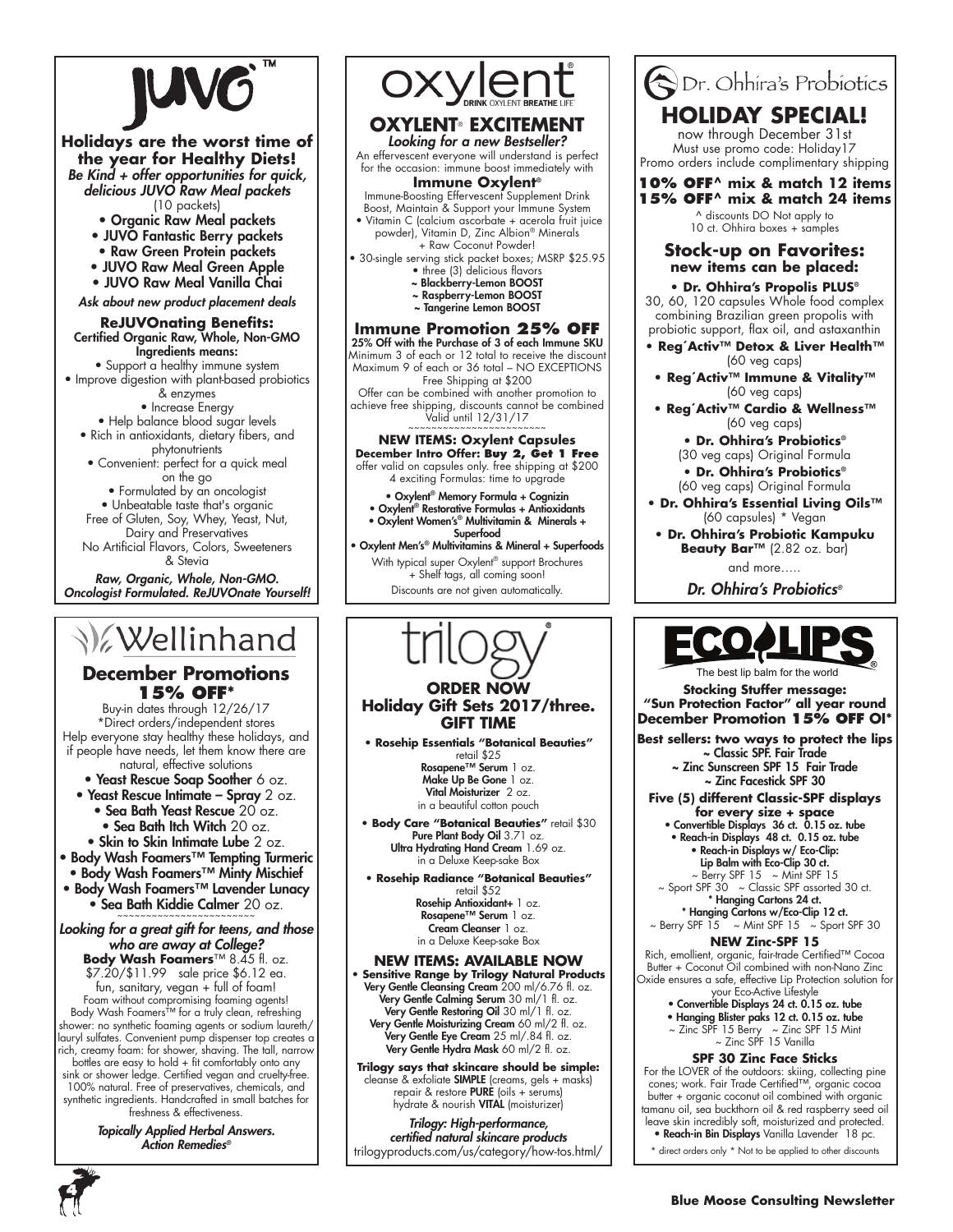

### **Holidays are the worst time of the year for Healthy Diets!**

Be Kind + offer opportunities for quick, delicious JUVO Raw Meal packets (10 packets)

• Organic Raw Meal packets

- JUVO Fantastic Berry packets
- Raw Green Protein packets
- JUVO Raw Meal Green Apple
- JUVO Raw Meal Vanilla Chai

Ask about new product placement deals

#### **ReJUVOnating Benefits:** Certified Organic Raw, Whole, Non-GMO Ingredients means:

• Support a healthy immune system • Improve digestion with plant-based probiotics

& enzymes

• Increase Energy

- Help balance blood sugar levels • Rich in antioxidants, dietary fibers, and
- phytonutrients • Convenient: perfect for a quick meal
	- on the go

• Formulated by an oncologist

• Unbeatable taste that's organic Free of Gluten, Soy, Whey, Yeast, Nut,

Dairy and Preservatives No Artificial Flavors, Colors, Sweeteners & Stevia

Raw, Organic, Whole, Non-GMO. Oncologist Formulated. ReJUVOnate Yourself!

### **XWellinhand**

### **December Promotions 15% OFF\***

Buy-in dates through 12/26/17 \*Direct orders/independent stores Help everyone stay healthy these holidays, and if people have needs, let them know there are natural, effective solutions

• Yeast Rescue Soap Soother 6 oz.

- Yeast Rescue Intimate Spray 2 oz. • Sea Bath Yeast Rescue 20 oz.
	- Sea Bath Itch Witch 20 oz.
	-
- Skin to Skin Intimate Lube 2 oz. • Body Wash Foamers™ Tempting Turmeric
- Body Wash Foamers™ Minty Mischief
- Body Wash Foamers™ Lavender Lunacy

• Sea Bath Kiddie Calmer 20 oz.

Looking for a great gift for teens, and those who are away at College?

**Body Wash Foamers**™ 8.45 fl. oz. \$7.20/\$11.99 sale price \$6.12 ea. fun, sanitary, vegan + full of foam! Foam without compromising foaming agents! Body Wash Foamers™ for a truly clean, refreshing shower: no synthetic foaming agents or sodium laureth/ lauryl sulfates. Convenient pump dispenser top creates a rich, creamy foam: for shower, shaving. The tall, narrow bottles are easy to hold + fit comfortably onto any sink or shower ledge. Certified vegan and cruelty-free. 100% natural. Free of preservatives, chemicals, and synthetic ingredients. Handcrafted in small batches for freshness & effectiveness.

Topically Applied Herbal Answers. Action Remedies*®*



### **Oxylent**® **EXCITEMENT**

Looking for a new Bestseller? An effervescent everyone will understand is perfect for the occasion: immune boost immediately with

### **Immune Oxylent®**

Immune-Boosting Effervescent Supplement Drink Boost, Maintain & Support your Immune System • Vitamin C (calcium ascorbate + acerola fruit juice

powder), Vitamin D, Zinc Albion® Minerals + Raw Coconut Powder!

• 30-single serving stick packet boxes; MSRP \$25.95 • three (3) delicious flavors

- ~ Blackberry-Lemon BOOST
- ~ Raspberry-Lemon BOOST
- ~ Tangerine Lemon BOOST

### **Immune Promotion 25% OFF**

25% Off with the Purchase of 3 of each Immune SKU Minimum 3 of each or 12 total to receive the discount Maximum 9 of each or 36 total – NO EXCEPTIONS

Free Shipping at \$200 Offer can be combined with another promotion to achieve free shipping, discounts cannot be combined Valid until 12/31/17 ~~~~~~~~~~~~~~~~~~~~~~~~

### **NEW ITEMS: Oxylent Capsules December Intro Offer: Buy 2, Get 1 Free**

offer valid on capsules only. free shipping at \$200 4 exciting Formulas: time to upgrade

• Oxylent® Memory Formula + Cognizin • Oxylent® Restorative Formulas + Antioxidants • Oxylent Women's® Multivitamin & Minerals + Superfood

• Oxylent Men's® Multivitamins & Mineral + Superfoods With typical super Oxylent® support Brochures + Shelf tags, all coming soon! Discounts are not given automatically.



Rosehip Antioxidant+ 1 oz. Rosapene™ Serum 1 oz. Cream Cleanser 1 oz. in a Deluxe Keep-sake Box

**NEW ITEMS: available now • Sensitive Range by Trilogy Natural Products**

Very Gentle Cleansing Cream 200 ml/6.76 fl. oz. Very Gentle Calming Serum 30 ml/1 fl. oz. **Very Gentle Restoring Oil** 30 ml/1 fl. oz. Very Gentle Moisturizing Cream 60 ml/2 fl. oz. Very Gentle Eye Cream 25 ml/.84 fl. oz. Very Gentle Hydra Mask 60 ml/2 fl. oz.

**Trilogy says that skincare should be simple:** cleanse & exfoliate SIMPLE (creams, gels + masks) repair & restore PURE (oils + serums) hydrate & nourish VITAL (moisturizer)

Trilogy: High-performance, certified natural skincare products trilogyproducts.com/us/category/how-tos.html/



now through December 31st Must use promo code: Holiday17 Promo orders include complimentary shipping

### **10% OFF^ mix & match 12 items 15% OFF^ mix & match 24 items**

^ discounts DO Not apply to 10 ct. Ohhira boxes + samples

### **Stock-up on Favorites: new items can be placed:**

### **• Dr. Ohhira's Propolis PLUS®**

30, 60, 120 capsules Whole food complex combining Brazilian green propolis with probiotic support, flax oil, and astaxanthin

- **Reg´Activ™ Detox & Liver Health™**  (60 veg caps)
- **Reg´Activ™ Immune & Vitality™**  (60 veg caps)
- **Reg´Activ™ Cardio & Wellness™** (60 veg caps)

**• Dr. Ohhira's Probiotics®** (30 veg caps) Original Formula **• Dr. Ohhira's Probiotics®**

- (60 veg caps) Original Formula **• Dr. Ohhira's Essential Living Oils™**  (60 capsules) \* Vegan
- **Dr. Ohhira's Probiotic Kampuku Beauty Bar™** (2.82 oz. bar)

and more…..

Dr. Ohhira's Probiotics*®*



he best lip balm for the world

**Stocking Stuffer message: "Sun Protection Factor" all year round December Promotion 15% OFF OI\***

**Best sellers: two ways to protect the lips** ~ Classic SPF. Fair Trade

~ Zinc Sunscreen SPF 15 Fair Trade ~ Zinc Facestick SPF 30

- **Five (5) different Classic-SPF displays for every size + space**
	- Convertible Displays 36 ct. 0.15 oz. tube • Reach-in Displays 48 ct. 0.15 oz. tube • Reach-in Displays w/ Eco-Clip:
		- Lip Balm with Eco-Clip 30 ct.  $\sim$  Berry SPF 15  $\sim$  Mint SPF 15
	- ~ Sport SPF 30 ~ Classic SPF assorted 30 ct. \* Hanging Cartons 24 ct.
- \* Hanging Cartons w/Eco-Clip 12 ct.  $\sim$  Berry SPF 15  $\sim$  Mint SPF 15  $\sim$  Sport SPF 30

### **NEW Zinc-SPF 15**

Rich, emollient, organic, fair-trade Certified™ Cocoa Butter + Coconut Oil combined with non-Nano Zinc Oxide ensures a safe, effective Lip Protection solution for

- your Eco-Active Lifestyle Convertible Displays 24 ct. 0.15 oz. tube
- Hanging Blister paks 12 ct. 0.15 oz. tube
- ~ Zinc SPF 15 Berry ~ Zinc SPF 15 Mint ~ Zinc SPF 15 Vanilla

### **SPF 30 Zinc Face Sticks**

For the LOVER of the outdoors: skiing, collecting pine cones; work. Fair Trade Certified™, organic cocoa butter + organic coconut oil combined with organic tamanu oil, sea buckthorn oil & red raspberry seed oil leave skin incredibly soft, moisturized and protected.<br>• Reach-in Bin Displays Vanilla Lavender 18 pc.

direct orders only \* Not to be applied to other discounts

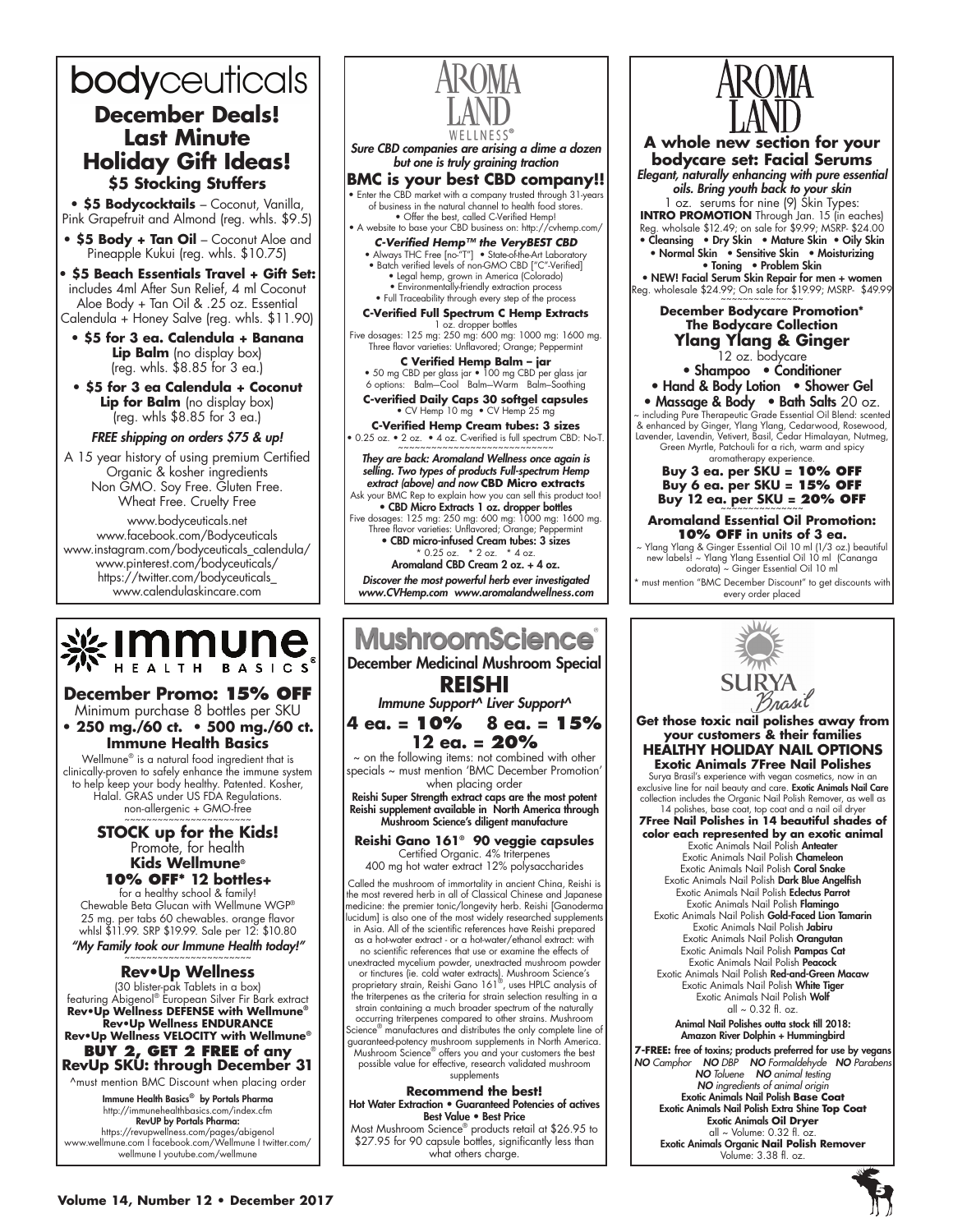### bodyceuticals **December Deals! Last Minute Holiday Gift Ideas! \$5 Stocking Stuffers**

**• \$5 Bodycocktails** – Coconut, Vanilla, Pink Grapefruit and Almond (reg. whls. \$9.5)

- **\$5 Body + Tan Oil**  Coconut Aloe and Pineapple Kukui (reg. whls. \$10.75)
- **\$5 Beach Essentials Travel + Gift Set:** includes 4ml After Sun Relief, 4 ml Coconut Aloe Body + Tan Oil & .25 oz. Essential Calendula + Honey Salve (reg. whls. \$11.90)
- **\$5 for 3 ea. Calendula + Banana Lip Balm** (no display box) (reg. whls. \$8.85 for 3 ea.)
- **\$5 for 3 ea Calendula + Coconut Lip for Balm** (no display box)  $[$ (reg. whls  $$8.85$  for 3 ea.)

### FREE shipping on orders \$75 & up!

A 15 year history of using premium Certified Organic & kosher ingredients Non GMO. Soy Free. Gluten Free. Wheat Free. Cruelty Free

www.bodyceuticals.net www.facebook.com/Bodyceuticals www.instagram.com/bodyceuticals\_calendula/ www.pinterest.com/bodyceuticals/ https://twitter.com/bodyceuticals\_ www.calendulaskincare.com



### **December Promo: 15% OFF**

Minimum purchase 8 bottles per SKU **• 250 mg./60 ct. • 500 mg./60 ct. Immune Health Basics**

Wellmune® is a natural food ingredient that is clinically-proven to safely enhance the immune system to help keep your body healthy. Patented. Kosher, Halal. GRAS under US FDA Regulations. non-allergenic + GMO-free

### **STOCK up for the Kids!**<br>Promote, for health **Kids Wellmune®**

**10% OFF\* 12 bottles+**  for a healthy school & family! Chewable Beta Glucan with Wellmune WGP® 25 mg. per tabs 60 chewables. orange flavor whlsl \$11.99. SRP \$19.99. Sale per 12: \$10.80

"My Family took our Immune Health today!" ~~~~~~~~~~~~~~~~~~~~~~~

### **Rev•Up Wellness**

(30 blister-pak Tablets in a box) featuring Abigenol® European Silver Fir Bark extract **Rev•Up Wellness DEFENSE with Wellmune® Rev•Up Wellness ENDURANCE Rev•Up Wellness VELOCITY with Wellmune®**

### **BUY 2, Get 2 free of any RevUp SKU: through December 31** ^must mention BMC Discount when placing order

Immune Health Basics® by Portals Pharma http://immunehealthbasics.com/index.cfm RevUP by Portals Pharma: https://revupwellness.com/pages/abigenol www.wellmune.com I facebook.com/Wellmune I twitter.com/

wellmune I youtube.com/wellmune



### **MushroomScience** December Medicinal Mushroom Special **REISHI** Immune Support^ Liver Support^ **4 ea. = 10% 8 ea. = 15% 12 ea. = 20%**   $\sim$  on the following items: not combined with other specials ~ must mention 'BMC December Promotion' when placing order Reishi Super Strength extract caps are the most potent Reishi supplement available in North America through Mushroom Science's diligent manufacture **Reishi Gano 161® 90 veggie capsules** Certified Organic. 4% triterpenes 400 mg hot water extract 12% polysaccharides Called the mushroom of immortality in ancient China, Reishi is the most revered herb in all of Classical Chinese and Japanese medicine: the premier tonic/longevity herb. Reishi [Ganoderma lucidum] is also one of the most widely researched supplements in Asia. All of the scientific references have Reishi prepared as a hot-water extract - or a hot-water/ethanol extract: with

no scientific references that use or examine the effects of unextracted mycelium powder, unextracted mushroom powder or tinctures (ie. cold water extracts). Mushroom Science's proprietary strain, Reishi Gano 161®, uses HPLC analysis of the triterpenes as the criteria for strain selection resulting in a strain containing a much broader spectrum of the naturally occurring triterpenes compared to other strains. Mushroom Science® manufactures and distributes the only complete line of guaranteed-potency mushroom supplements in North America. Mushroom Science® offers you and your customers the best possible value for effective, research validated mushroom supplements

**Recommend the best!** Hot Water Extraction • Guaranteed Potencies of actives Best Value • Best Price

Most Mushroom Science® products retail at \$26.95 to \$27.95 for 90 capsule bottles, significantly less than what others charge.



**A whole new section for your bodycare set: Facial Serums** Elegant, naturally enhancing with pure essential oils. Bring youth back to your skin 1 oz. serums for nine (9) Skin Types: **INTRO PROMOTION** Through Jan. 15 (in eaches) Reg. wholsale \$12.49; on sale for \$9.99; MSRP- \$24.00 • Cleansing • Dry Skin • Mature Skin • Oily Skin • Normal Skin • Sensitive Skin • Moisturizing • Toning • Problem Skin • NEW! Facial Serum Skin Repair for men + women Reg. wholesale \$24.99; On sale for \$19.99; MSRP- \$49.99 ~~~~~~~~~~~~~~~ **December Bodycare Promotion\* The Bodycare Collection Ylang Ylang & Ginger** 12 oz. bodycare • Shampoo • Conditioner • Hand & Body Lotion • Shower Gel • Massage & Body • Bath Salts 20 oz. ~ including Pure Therapeutic Grade Essential Oil Blend: scented & enhanced by Ginger, Ylang Ylang, Cedarwood, Rosewood, Lavender, Lavendin, Vetivert, Basil, Cedar Himalayan, Nutmeg, Green Myrtle, Patchouli for a rich, warm and spicy aromatherapy experience. **Buy 3 ea. per SKU = 10% OFF Buy 6 ea. per SKU = 15% OFF Buy 12 ea. per SKU = 20% OFF Aromaland Essential Oil Promotion: 10% OFF in units of 3 ea.** ~ Ylang Ylang & Ginger Essential Oil 10 ml (1/3 oz.) beautiful new labels! ~ Ylang Ylang Essential Oil 10 ml (Cananga odorata) ~ Ginger Essential Oil 10 ml must mention "BMC December Discount" to get discounts with every order placed $M$ 



**Get those toxic nail polishes away from your customers & their families HEALTHY HOLIDAY NAIL OPTIONS Exotic Animals 7Free Nail Polishes** 

Surya Brasil's experience with vegan cosmetics, now in an exclusive line for nail beauty and care. **Exotic Animals Nail Care**<br>collection includes the Organic Nail Polish Remover, as well as<br>14 polishes, base coat, top coat and a nail oil dryer

**7Free Nail Polishes in 14 beautiful shades of color each represented by an exotic animal** Exotic Animals Nail Polish Anteater Exotic Animals Nail Polish Chameleon Exotic Animals Nail Polish Coral Snake Exotic Animals Nail Polish Dark Blue Angelfish Exotic Animals Nail Polish Eclectus Parrot Exotic Animals Nail Polish Flamingo Exotic Animals Nail Polish Gold-Faced Lion Tamarin Exotic Animals Nail Polish Jabiru Exotic Animals Nail Polish Orangutan Exotic Animals Nail Polish Pampas Cat Exotic Animals Nail Polish Peacock Exotic Animals Nail Polish Red-and-Green Macaw Exotic Animals Nail Polish White Tiger Exotic Animals Nail Polish Wolf all  $\sim$  0.32 fl. oz.

Animal Nail Polishes outta stock till 2018: Amazon River Dolphin + Hummingbird **7-FREE:** free of toxins; products preferred for use by vegans NO *Camphor* NO *DBP* NO *Formaldehyde* NO *Parabens*  NO *Toluene* NO *animal testing*  NO *ingredients of animal origin* Exotic Animals Nail Polish **Base Coat** Exotic Animals Nail Polish Extra Shine **Top Coat** Exotic Animals **Oil Dryer** all  $\sim$  Volume: 0.32 fl. Exotic Animals Organic **Nail Polish Remover**  Volume: 3.38 fl. oz.

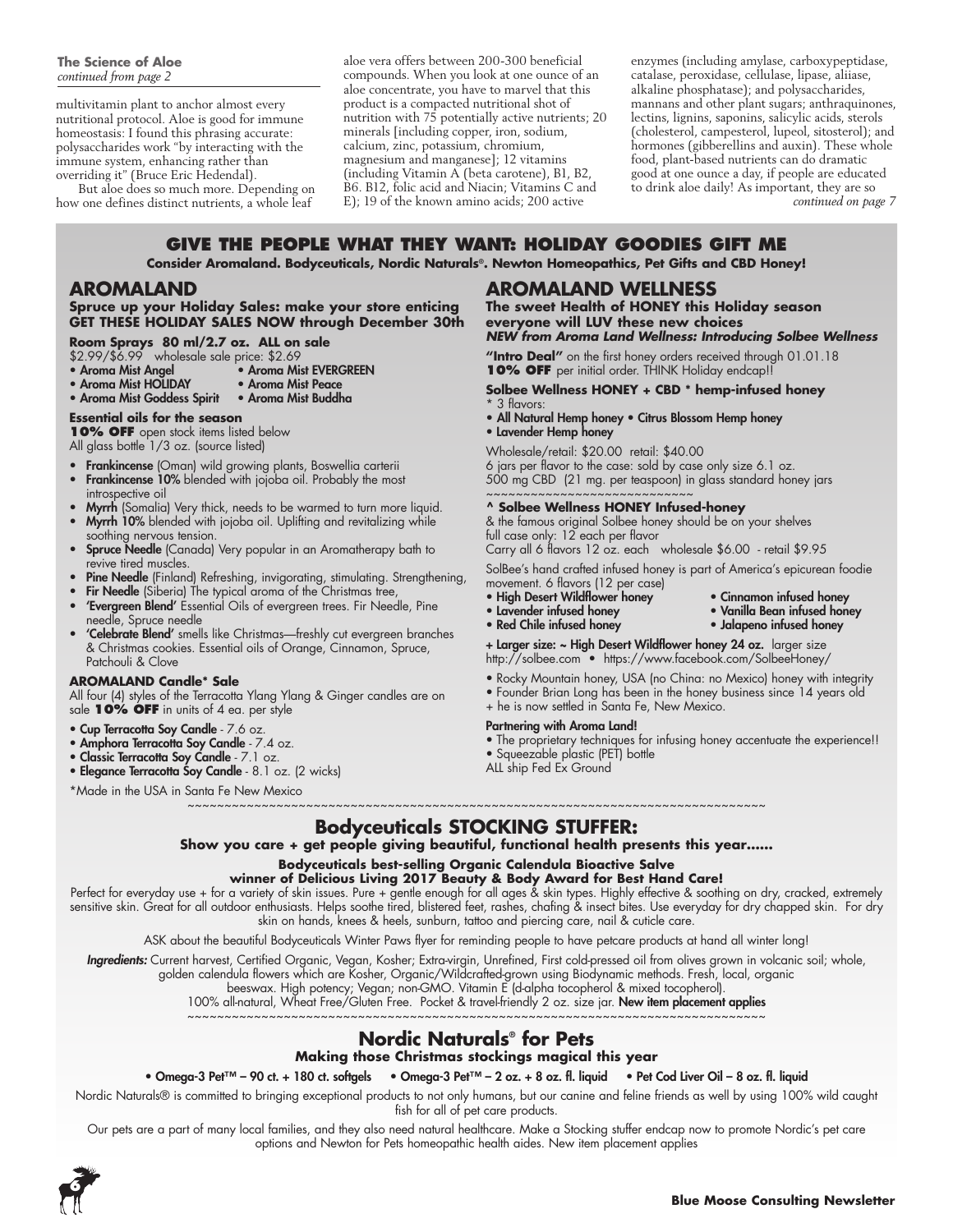multivitamin plant to anchor almost every nutritional protocol. Aloe is good for immune homeostasis: I found this phrasing accurate: polysaccharides work "by interacting with the immune system, enhancing rather than overriding it" (Bruce Eric Hedendal).

But aloe does so much more. Depending on how one defines distinct nutrients, a whole leaf

aloe vera offers between 200-300 beneficial compounds. When you look at one ounce of an aloe concentrate, you have to marvel that this product is a compacted nutritional shot of nutrition with  $75$  potentially active nutrients; 20 minerals [including copper, iron, sodium, calcium, zinc, potassium, chromium, magnesium and manganese]; 12 vitamins (including Vitamin A (beta carotene), B1, B2, B6. B12, folic acid and Niacin; Vitamins C and E); 19 of the known amino acids; 200 active

enzymes (including amylase, carboxypeptidase, catalase, peroxidase, cellulase, lipase, aliiase, alkaline phosphatase); and polysaccharides, mannans and other plant sugars; anthraquinones, lectins, lignins, saponins, salicylic acids, sterols (cholesterol, campesterol, lupeol, sitosterol); and hormones (gibberellins and auxin). These whole food, plant-based nutrients can do dramatic good at one ounce a day, if people are educated to drink aloe daily! As important, they are so *continued on page 7*

### **Give the People What They Want: HOLIDAY GOODIES GIFT ME**

**Consider Aromaland. Bodyceuticals, Nordic Naturals®. Newton Homeopathics, Pet Gifts and CBD Honey!**

### **AROMALAND**

### **Spruce up your Holiday Sales: make your store enticing GET THESE HOLIDAY SALES NOW through December 30th**

**Room Sprays 80 ml/2.7 oz. ALL on sale**

- \$2.99/\$6.99 wholesale sale price: \$2.69
- 
- Aroma Mist Angel<br>• Aroma Mist HOLIDAY Aroma Mist Peace • Aroma Mist HOLIDAY
- Aroma Mist Goddess Spirit Aroma Mist Buddha

### **Essential oils for the season**

**10% OFF** open stock items listed below

- All glass bottle 1/3 oz. (source listed)
- Frankincense (Oman) wild growing plants, Boswellia carterii<br>• Frankincense 10% blended with jojoba oil Probably the mos
- Frankincense 10% blended with jojoba oil. Probably the most introspective oil
- Myrrh (Somalia) Very thick, needs to be warmed to turn more liquid.
- Myrrh 10% blended with jojoba oil. Uplifting and revitalizing while soothing nervous tension.
- **Spruce Needle** (Canada) Very popular in an Aromatherapy bath to revive tired muscles.
- **Pine Needle** (Finland) Refreshing, invigorating, stimulating. Strengthening,
- Fir Needle (Siberia) The typical aroma of the Christmas tree,
- 'Evergreen Blend' Essential Oils of evergreen trees. Fir Needle, Pine
- needle, Spruce needle 'Celebrate Blend' smells like Christmas-freshly cut evergreen branches & Christmas cookies. Essential oils of Orange, Cinnamon, Spruce, Patchouli & Clove

### **AROMALAND Candle\* Sale**

All four (4) styles of the Terracotta Ylang Ylang & Ginger candles are on sale **10% OFF** in units of 4 ea. per style

- Cup Terracotta Soy Candle 7.6 oz.
- Amphora Terracotta Soy Candle 7.4 oz.
- Classic Terracotta Soy Candle 7.1 oz.
- Elegance Terracotta Soy Candle 8.1 oz. (2 wicks)

\*Made in the USA in Santa Fe New Mexico

### **AROMALAND wellness**

**The sweet Health of HONEY this Holiday season everyone will LUV these new choices** *NEW from Aroma Land Wellness: Introducing Solbee Wellness* 

**"Intro Deal"** on the first honey orders received through 01.01.18 **10% OFF** per initial order. THINK Holiday endcap!

### **Solbee Wellness HONEY + CBD \* hemp-infused honey**

- \* 3 flavors:
- All Natural Hemp honey Citrus Blossom Hemp honey
- Lavender Hemp honey

Wholesale/retail: \$20.00 retail: \$40.00 6 jars per flavor to the case: sold by case only size 6.1 oz. 500 mg CBD (21 mg. per teaspoon) in glass standard honey jars

#### ~~~~~~~~~~~~~~~~~~~~~~~ **^ Solbee Wellness HONEY Infused-honey**

& the famous original Solbee honey should be on your shelves full case only: 12 each per flavor

Carry all 6 flavors 12 oz. each wholesale \$6.00 - retail \$9.95

SolBee's hand crafted infused honey is part of America's epicurean foodie movement. 6 flavors (12 per case)

- 
- High Desert Wildflower honey Cinnamon infused honey
	- Vanilla Bean infused honey<br>• Jalapeno infused honey
- Red Chile infused honey

+ Larger size: ~ High Desert Wildflower honey 24 oz. larger size

- http://solbee.com https://www.facebook.com/SolbeeHoney/
- Rocky Mountain honey, USA (no China: no Mexico) honey with integrity
- Founder Brian Long has been in the honey business since 14 years old

### + he is now settled in Santa Fe, New Mexico.

#### Partnering with Aroma Land!

- The proprietary techniques for infusing honey accentuate the experience!!
- Squeezable plastic (PET) bottle
- ALL ship Fed Ex Ground

~~~~~~~~~~~~~~~~~~~~~~~~~~~~~~~~~~~~~~~~~~~~~~~~~~~~~~~~~~~~~~~~~~~~~~~~~~~~~~ **Bodyceuticals STOCKING STUFFER:**

**Show you care + get people giving beautiful, functional health presents this year……**

### **Bodyceuticals best-selling Organic Calendula Bioactive Salve**

**winner of Delicious Living 2017 Beauty & Body Award for Best Hand Care!**

Perfect for everyday use + for a variety of skin issues. Pure + gentle enough for all ages & skin types. Highly effective & soothing on dry, cracked, extremely sensitive skin. Great for all outdoor enthusiasts. Helps soothe tired, blistered feet, rashes, chafing & insect bites. Use everyday for dry chapped skin. For dry skin on hands, knees & heels, sunburn, tattoo and piercing care, nail & cuticle care.

ASK about the beautiful Bodyceuticals Winter Paws flyer for reminding people to have petcare products at hand all winter long!

Ingredients: Current harvest, Certified Organic, Vegan, Kosher; Extra-virgin, Unrefined, First cold-pressed oil from olives grown in volcanic soil; whole,

golden calendula flowers which are Kosher, Organic/Wildcrafted-grown using Biodynamic methods. Fresh, local, organic

beeswax. High potency; Vegan; non-GMO. Vitamin E (d-alpha tocopherol & mixed tocopherol).

100% all-natural, Wheat Free/Gluten Free. Pocket & travel-friendly 2 oz. size jar. New item placement applies ~~~~~~~~~~~~~~~~~~~~~~~~~~~~~~~~~~~~~~~~~~~~~~~~~~~~~~~~~~~~~~~~~~~~~~~~~~~~~~

### **Nordic Naturals® for Pets**

**Making those Christmas stockings magical this year**

### • Omega-3 Pet™ – 90 ct. + 180 ct. softgels • Omega-3 Pet™ – 2 oz. + 8 oz. fl. liquid • Pet Cod Liver Oil – 8 oz. fl. liquid

Nordic Naturals® is committed to bringing exceptional products to not only humans, but our canine and feline friends as well by using 100% wild caught fish for all of pet care products.

Our pets are a part of many local families, and they also need natural healthcare. Make a Stocking stuffer endcap now to promote Nordic's pet care options and Newton for Pets homeopathic health aides. New item placement applies

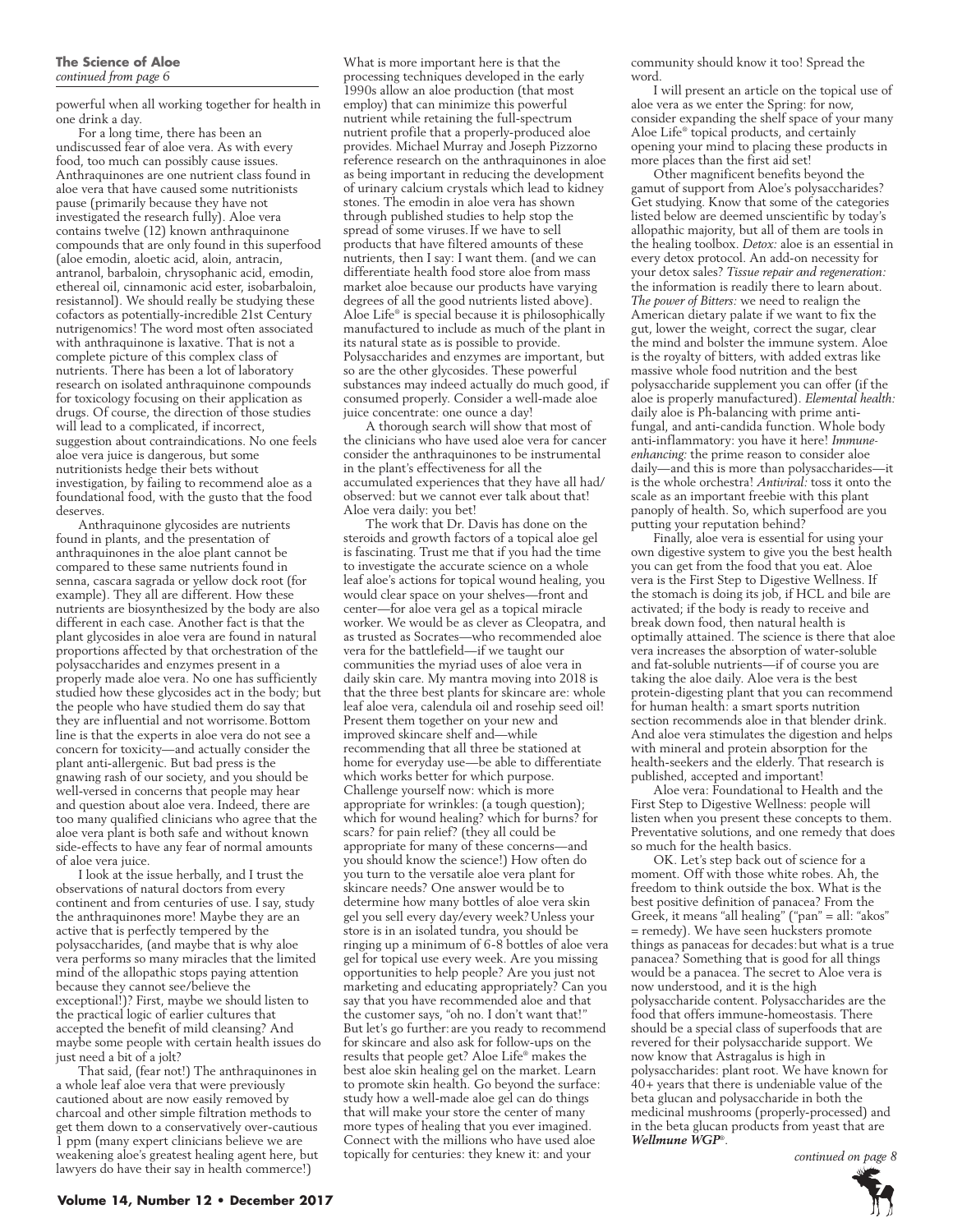powerful when all working together for health in one drink a day.

For a long time, there has been an undiscussed fear of aloe vera. As with every food, too much can possibly cause issues. Anthraquinones are one nutrient class found in aloe vera that have caused some nutritionists pause (primarily because they have not investigated the research fully). Aloe vera contains twelve (12) known anthraquinone compounds that are only found in this superfood (aloe emodin, aloetic acid, aloin, antracin, antranol, barbaloin, chrysophanic acid, emodin, ethereal oil, cinnamonic acid ester, isobarbaloin, resistannol). We should really be studying these cofactors as potentially-incredible 21st Century nutrigenomics! The word most often associated with anthraquinone is laxative. That is not a complete picture of this complex class of nutrients. There has been a lot of laboratory research on isolated anthraquinone compounds for toxicology focusing on their application as drugs. Of course, the direction of those studies will lead to a complicated, if incorrect, suggestion about contraindications. No one feels aloe vera juice is dangerous, but some nutritionists hedge their bets without investigation, by failing to recommend aloe as a foundational food, with the gusto that the food deserves.

Anthraquinone glycosides are nutrients found in plants, and the presentation of anthraquinones in the aloe plant cannot be compared to these same nutrients found in senna, cascara sagrada or yellow dock root (for example). They all are different. How these nutrients are biosynthesized by the body are also different in each case. Another fact is that the plant glycosides in aloe vera are found in natural proportions affected by that orchestration of the polysaccharides and enzymes present in a properly made aloe vera. No one has sufficiently studied how these glycosides act in the body; but the people who have studied them do say that they are influential and not worrisome.Bottom line is that the experts in aloe vera do not see a concern for toxicity—and actually consider the plant anti-allergenic. But bad press is the gnawing rash of our society, and you should be well-versed in concerns that people may hear and question about aloe vera. Indeed, there are too many qualified clinicians who agree that the aloe vera plant is both safe and without known side-effects to have any fear of normal amounts of aloe vera juice.

I look at the issue herbally, and I trust the observations of natural doctors from every continent and from centuries of use. I say, study the anthraquinones more! Maybe they are an active that is perfectly tempered by the polysaccharides, (and maybe that is why aloe vera performs so many miracles that the limited mind of the allopathic stops paying attention because they cannot see/believe the exceptional!)? First, maybe we should listen to the practical logic of earlier cultures that accepted the benefit of mild cleansing? And maybe some people with certain health issues do just need a bit of a jolt?

That said, (fear not!) The anthraquinones in a whole leaf aloe vera that were previously cautioned about are now easily removed by charcoal and other simple filtration methods to get them down to a conservatively over-cautious 1 ppm (many expert clinicians believe we are weakening aloe's greatest healing agent here, but lawyers do have their say in health commerce!)

What is more important here is that the processing techniques developed in the early 1990s allow an aloe production (that most employ) that can minimize this powerful nutrient while retaining the full-spectrum nutrient profile that a properly-produced aloe provides. Michael Murray and Joseph Pizzorno reference research on the anthraquinones in aloe as being important in reducing the development of urinary calcium crystals which lead to kidney stones. The emodin in aloe vera has shown through published studies to help stop the spread of some viruses.If we have to sell products that have filtered amounts of these nutrients, then I say: I want them. (and we can differentiate health food store aloe from mass market aloe because our products have varying degrees of all the good nutrients listed above). Aloe Life® is special because it is philosophically manufactured to include as much of the plant in its natural state as is possible to provide. Polysaccharides and enzymes are important, but so are the other glycosides. These powerful substances may indeed actually do much good, if consumed properly. Consider a well-made aloe juice concentrate: one ounce a day!

A thorough search will show that most of the clinicians who have used aloe vera for cancer consider the anthraquinones to be instrumental in the plant's effectiveness for all the accumulated experiences that they have all had/ observed: but we cannot ever talk about that! Aloe vera daily: you bet!

The work that Dr. Davis has done on the steroids and growth factors of a topical aloe gel is fascinating. Trust me that if you had the time to investigate the accurate science on a whole leaf aloe's actions for topical wound healing, you would clear space on your shelves—front and center—for aloe vera gel as a topical miracle worker. We would be as clever as Cleopatra, and as trusted as Socrates—who recommended aloe vera for the battlefield—if we taught our communities the myriad uses of aloe vera in daily skin care. My mantra moving into 2018 is that the three best plants for skincare are: whole leaf aloe vera, calendula oil and rosehip seed oil! Present them together on your new and improved skincare shelf and—while recommending that all three be stationed at home for everyday use—be able to differentiate which works better for which purpose. Challenge yourself now: which is more appropriate for wrinkles: (a tough question); which for wound healing? which for burns? for scars? for pain relief? (they all could be appropriate for many of these concerns—and you should know the science!) How often do you turn to the versatile aloe vera plant for skincare needs? One answer would be to determine how many bottles of aloe vera skin gel you sell every day/every week?Unless your store is in an isolated tundra, you should be ringing up a minimum of 6-8 bottles of aloe vera gel for topical use every week. Are you missing opportunities to help people? Are you just not marketing and educating appropriately? Can you say that you have recommended aloe and that the customer says, "oh no. I don't want that!" But let's go further: are you ready to recommend for skincare and also ask for follow-ups on the results that people get? Aloe Life® makes the best aloe skin healing gel on the market. Learn to promote skin health. Go beyond the surface: study how a well-made aloe gel can do things that will make your store the center of many more types of healing that you ever imagined. Connect with the millions who have used aloe topically for centuries: they knew it: and your

community should know it too! Spread the word.

I will present an article on the topical use of aloe vera as we enter the Spring: for now, consider expanding the shelf space of your many Aloe Life® topical products, and certainly opening your mind to placing these products in more places than the first aid set!

Other magnificent benefits beyond the gamut of support from Aloe's polysaccharides? Get studying. Know that some of the categories listed below are deemed unscientific by today's allopathic majority, but all of them are tools in the healing toolbox. *Detox:* aloe is an essential in every detox protocol. An add-on necessity for your detox sales? *Tissue repair and regeneration:*  the information is readily there to learn about. *The power of Bitters:* we need to realign the American dietary palate if we want to fix the gut, lower the weight, correct the sugar, clear the mind and bolster the immune system. Aloe is the royalty of bitters, with added extras like massive whole food nutrition and the best polysaccharide supplement you can offer (if the aloe is properly manufactured). *Elemental health:*  daily aloe is Ph-balancing with prime antifungal, and anti-candida function. Whole body anti-inflammatory: you have it here! *Immuneenhancing:* the prime reason to consider aloe daily—and this is more than polysaccharides—it is the whole orchestra! *Antiviral:* toss it onto the scale as an important freebie with this plant panoply of health. So, which superfood are you putting your reputation behind?

Finally, aloe vera is essential for using your own digestive system to give you the best health you can get from the food that you eat. Aloe vera is the First Step to Digestive Wellness. If the stomach is doing its job, if HCL and bile are activated; if the body is ready to receive and break down food, then natural health is optimally attained. The science is there that aloe vera increases the absorption of water-soluble and fat-soluble nutrients—if of course you are taking the aloe daily. Aloe vera is the best protein-digesting plant that you can recommend for human health: a smart sports nutrition section recommends aloe in that blender drink. And aloe vera stimulates the digestion and helps with mineral and protein absorption for the health-seekers and the elderly. That research is published, accepted and important!

Aloe vera: Foundational to Health and the First Step to Digestive Wellness: people will listen when you present these concepts to them. Preventative solutions, and one remedy that does so much for the health basics.

OK. Let's step back out of science for a moment. Off with those white robes. Ah, the freedom to think outside the box. What is the best positive definition of panacea? From the Greek, it means "all healing" ("pan" = all: "akos" = remedy). We have seen hucksters promote things as panaceas for decades:but what is a true panacea? Something that is good for all things would be a panacea. The secret to Aloe vera is now understood, and it is the high polysaccharide content. Polysaccharides are the food that offers immune-homeostasis. There should be a special class of superfoods that are revered for their polysaccharide support. We now know that Astragalus is high in polysaccharides: plant root. We have known for 40+ years that there is undeniable value of the beta glucan and polysaccharide in both the medicinal mushrooms (properly-processed) and in the beta glucan products from yeast that are *Wellmune WGP*®.

*continued on page 8*